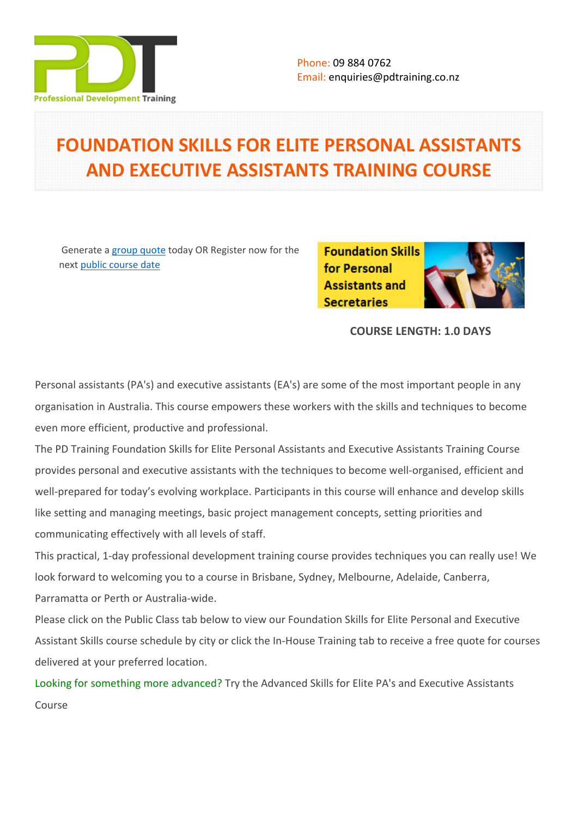

# **FOUNDATION SKILLS FOR ELITE PERSONAL ASSISTANTS AND EXECUTIVE ASSISTANTS TRAINING COURSE**

 Generate a [group quote](https://pdtraining.co.nz/inhouse-training-quote?cse=PDT034CTM) today OR Register now for the next [public course date](https://pdtraining.co.nz/booking?schedulecode=JUdjZGBlp9tzYs1Sw481YaxXsXJqRKOfcP359NUqztxXyhYgm8xpwzLIwq1b7lEOvnwjx5TTjRBFMKzl9DeSmzTMduJSWStoYTCjUORqoOfP7g6V1PcEhWC5ETfeva7AxmR2hpAuVXEIueO6xY1gQY&countryCode=NZ¤cyCode=NZ)

**Foundation Skills** for Personal **Assistants and Secretaries** 

**COURSE LENGTH: 1.0 DAYS**

Personal assistants (PA's) and executive assistants (EA's) are some of the most important people in any organisation in Australia. This course empowers these workers with the skills and techniques to become even more efficient, productive and professional.

The PD Training Foundation Skills for Elite Personal Assistants and Executive Assistants Training Course provides personal and executive assistants with the techniques to become well-organised, efficient and well-prepared for today's evolving workplace. Participants in this course will enhance and develop skills like setting and managing meetings, basic project management concepts, setting priorities and communicating effectively with all levels of staff.

This practical, 1-day professional development training course provides techniques you can really use! We look forward to welcoming you to a course in Brisbane, Sydney, Melbourne, Adelaide, Canberra, Parramatta or Perth or Australia-wide.

Please click on the Public Class tab below to view our Foundation Skills for Elite Personal and Executive Assistant Skills course schedule by city or click the In-House Training tab to receive a free quote for courses delivered at your preferred location.

Looking for something more advanced? [Try the Advanced Skills for Elite PA's and Executive Assistants](https://pdtraining.com.au/courses/advanced-skills-for-pas-and-executive-assistants)  [Course](https://pdtraining.com.au/courses/advanced-skills-for-pas-and-executive-assistants)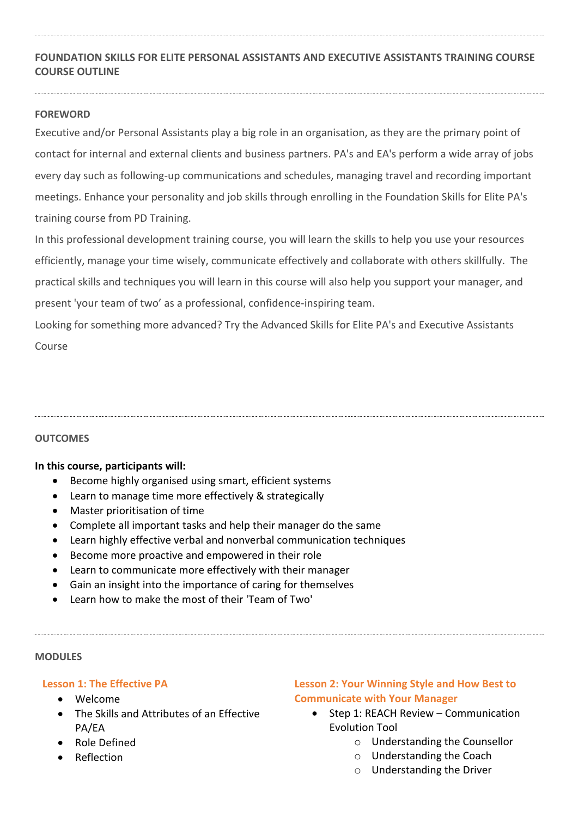# **FOUNDATION SKILLS FOR ELITE PERSONAL ASSISTANTS AND EXECUTIVE ASSISTANTS TRAINING COURSE COURSE OUTLINE**

# **FOREWORD**

Executive and/or Personal Assistants play a big role in an organisation, as they are the primary point of contact for internal and external clients and business partners. PA's and EA's perform a wide array of jobs every day such as following-up communications and schedules, managing travel and recording important meetings. Enhance your personality and job skills through enrolling in the Foundation Skills for Elite PA's training course from PD Training.

In this professional development training course, you will learn the skills to help you use your resources efficiently, manage your time wisely, communicate effectively and collaborate with others skillfully. The practical skills and techniques you will learn in this course will also help you support your manager, and present 'your team of two' as a professional, confidence-inspiring team.

Looking for something more advanced? [Try the Advanced Skills for Elite PA's and Executive Assistants](https://pdtraining.com.au/courses/advanced-skills-for-pas-and-executive-assistants)  [Course](https://pdtraining.com.au/courses/advanced-skills-for-pas-and-executive-assistants)

# **OUTCOMES**

# **In this course, participants will:**

- Become highly organised using smart, efficient systems
- Learn to manage time more effectively & strategically
- Master prioritisation of time
- Complete all important tasks and help their manager do the same
- Learn highly effective verbal and nonverbal communication techniques
- Become more proactive and empowered in their role
- Learn to communicate more effectively with their manager
- Gain an insight into the importance of caring for themselves
- Learn how to make the most of their 'Team of Two'

#### **MODULES**

# **Lesson 1: The Effective PA**

- Welcome
- The Skills and Attributes of an Effective PA/EA
- Role Defined
- Reflection

# **Lesson 2: Your Winning Style and How Best to Communicate with Your Manager**

- Step 1: REACH Review Communication Evolution Tool
	- o Understanding the Counsellor
	- o Understanding the Coach
	- o Understanding the Driver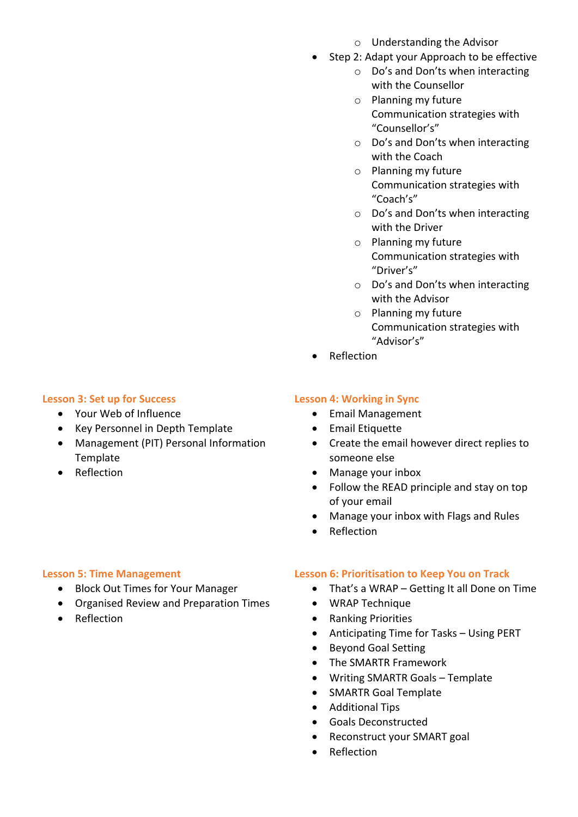#### **Lesson 3: Set up for Success**

- Your Web of Influence
- Key Personnel in Depth Template
- Management (PIT) Personal Information Template
- Reflection

# **Lesson 4: Working in Sync**

- Email Management
- **•** Email Etiquette
- Create the email however direct replies to someone else
- Manage your inbox
- Follow the READ principle and stay on top of your email
- Manage your inbox with Flags and Rules
- Reflection

#### **Lesson 5: Time Management**

- Block Out Times for Your Manager
- Organised Review and Preparation Times
- Reflection

#### **Lesson 6: Prioritisation to Keep You on Track**

- That's a WRAP Getting It all Done on Time
- WRAP Technique
- Ranking Priorities
- Anticipating Time for Tasks Using PERT
- Beyond Goal Setting
- The SMARTR Framework
- Writing SMARTR Goals Template
- SMARTR Goal Template
- Additional Tips
- Goals Deconstructed
- Reconstruct your SMART goal
- Reflection

# o Understanding the Advisor

- Step 2: Adapt your Approach to be effective
	- o Do's and Don'ts when interacting with the Counsellor
	- o Planning my future Communication strategies with "Counsellor's"
	- o Do's and Don'ts when interacting with the Coach
	- o Planning my future Communication strategies with "Coach's"
	- o Do's and Don'ts when interacting with the Driver
	- o Planning my future Communication strategies with "Driver's"
	- o Do's and Don'ts when interacting with the Advisor
	- o Planning my future Communication strategies with "Advisor's"
- Reflection